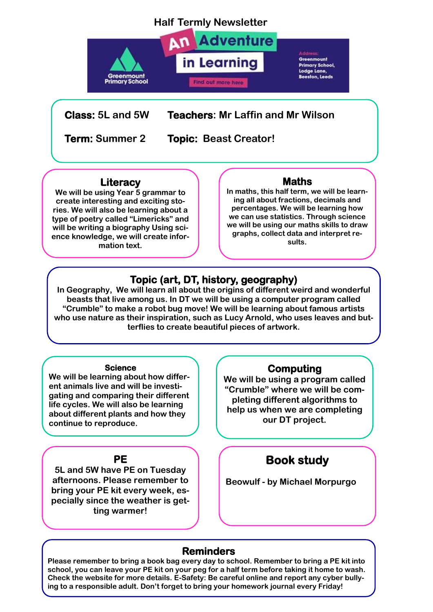## **Half Termly Newsletter**



**Class: 5L and 5W Teachers: Mr Laffin and Mr Wilson**

**Term: Summer 2 Topic: Beast Creator!**

### **Literacy**

**We will be using Year 5 grammar to create interesting and exciting stories. We will also be learning about a type of poetry called "Limericks" and will be writing a biography Using science knowledge, we will create information text.**

### **Maths**

**In maths, this half term, we will be learning all about fractions, decimals and percentages. We will be learning how we can use statistics. Through science we will be using our maths skills to draw graphs, collect data and interpret results.**

## **Topic (art, DT, history, geography)**

**In Geography, We will learn all about the origins of different weird and wonderful beasts that live among us. In DT we will be using a computer program called "Crumble" to make a robot bug move! We will be learning about famous artists who use nature as their inspiration, such as Lucy Arnold, who uses leaves and butterflies to create beautiful pieces of artwork.**

#### **Science**

**We will be learning about how different animals live and will be investigating and comparing their different life cycles. We will also be learning about different plants and how they continue to reproduce.**

### **PE**

**5L and 5W have PE on Tuesday afternoons. Please remember to bring your PE kit every week, especially since the weather is getting warmer!**

### **Computing**

**We will be using a program called "Crumble" where we will be completing different algorithms to help us when we are completing our DT project.**

# **Book study**

**Beowulf - by Michael Morpurgo**

### **Reminders**

**Please remember to bring a book bag every day to school. Remember to bring a PE kit into school, you can leave your PE kit on your peg for a half term before taking it home to wash. Check the website for more details. E-Safety: Be careful online and report any cyber bullying to a responsible adult. Don't forget to bring your homework journal every Friday!**